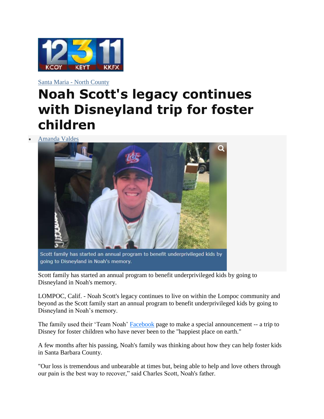

Santa Maria - [North County](http://www.keyt.com/video/santa-maria)

## **Noah Scott's legacy continues with Disneyland trip for foster children**

[Amanda Valdes](http://www.keyt.com/meet-the-team/amanda-valdes/65164923)



Scott family has started an annual program to benefit underprivileged kids by going to Disneyland in Noah's memory.

Scott family has started an annual program to benefit underprivileged kids by going to Disneyland in Noah's memory.

LOMPOC, Calif. - Noah Scott's legacy continues to live on within the Lompoc community and beyond as the Scott family start an annual program to benefit underprivileged kids by going to Disneyland in Noah's memory.

The family used their 'Team Noah' [Facebook](https://www.facebook.com/yougotthiskid/photos/a.1347616121920593.1073741828.1346239388724933/1833184670030400/?type=3&theater) page to make a special announcement -- a trip to Disney for foster children who have never been to the "happiest place on earth."

A few months after his passing, Noah's family was thinking about how they can help foster kids in Santa Barbara County.

"Our loss is tremendous and unbearable at times but, being able to help and love others through our pain is the best way to recover," said Charles Scott, Noah's father.